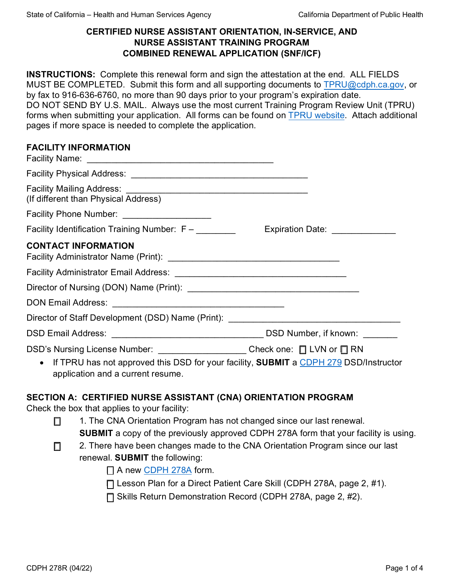### **CERTIFIED NURSE ASSISTANT ORIENTATION, IN-SERVICE, AND NURSE ASSISTANT TRAINING PROGRAM COMBINED RENEWAL APPLICATION (SNF/ICF)**

**INSTRUCTIONS:** Complete this renewal form and sign the attestation at the end. ALL FIELDS MUST BE COMPLETED. Submit this form and all supporting documents t[o TPRU@cdph.ca.gov,](mailto:TPRU@cdph.ca.gov) or by fax to 916-636-6760, no more than 90 days prior to your program's expiration date. DO NOT SEND BY U.S. MAIL. Always use the most current Training Program Review Unit (TPRU) forms when submitting your application. All forms can be found o[n TPRU website.](https://www.cdph.ca.gov/Programs/CHCQ/LCP/Pages/TPRU.aspx) Attach additional pages if more space is needed to complete the application.

#### **FACILITY INFORMATION**

| (If different than Physical Address)                                                                                                                                                                         |                                 |
|--------------------------------------------------------------------------------------------------------------------------------------------------------------------------------------------------------------|---------------------------------|
| Facility Phone Number: ____________________                                                                                                                                                                  |                                 |
| Facility Identification Training Number: F –                                                                                                                                                                 | Expiration Date: ______________ |
| <b>CONTACT INFORMATION</b>                                                                                                                                                                                   |                                 |
|                                                                                                                                                                                                              |                                 |
|                                                                                                                                                                                                              |                                 |
|                                                                                                                                                                                                              |                                 |
| Director of Staff Development (DSD) Name (Print): _______________________________                                                                                                                            |                                 |
|                                                                                                                                                                                                              |                                 |
| DSD's Nursing License Number: ______________________Check one: □ LVN or □ RN<br>• If TPRU has not approved this DSD for your facility, SUBMIT a CDPH 279 DSD/Instructor<br>application and a current resume. |                                 |

## **SECTION A: CERTIFIED NURSE ASSISTANT (CNA) ORIENTATION PROGRAM**

Check the box that applies to your facility:

- □ 1. The CNA Orientation Program has not changed since our last renewal. **SUBMIT** a copy of the previously approved CDPH 278A form that your facility is using.
- □ 2. There have been changes made to the CNA Orientation Program since our last renewal. **SUBMIT** the following:

 $\Box$  A new [CDPH 278A](https://www.cdph.ca.gov/CDPH%20Document%20Library/ControlledForms/cdph278a.pdf) form.

☐ Lesson Plan for a Direct Patient Care Skill (CDPH 278A, page 2, #1).

☐ Skills Return Demonstration Record (CDPH 278A, page 2, #2).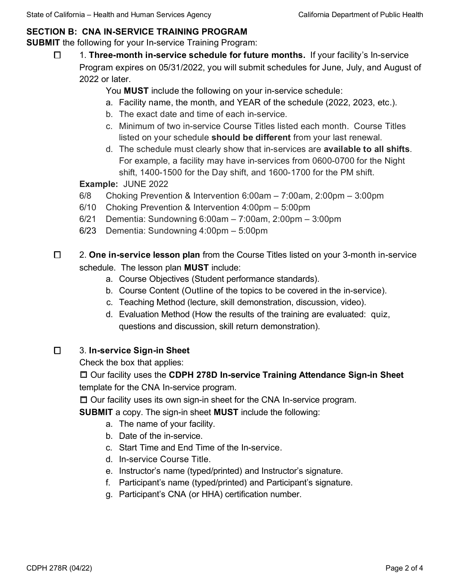# **SECTION B: CNA IN-SERVICE TRAINING PROGRAM**

**SUBMIT** the following for your In-service Training Program:

☐ 1. **Three-month in-service schedule for future months.** If your facility's In-service Program expires on 05/31/2022, you will submit schedules for June, July, and August of 2022 or later.

You **MUST** include the following on your in-service schedule:

- a. Facility name, the month, and YEAR of the schedule (2022, 2023, etc.).
- b. The exact date and time of each in-service.
- c. Minimum of two in-service Course Titles listed each month. Course Titles listed on your schedule **should be different** from your last renewal.
- d. The schedule must clearly show that in-services are **available to all shifts**. For example, a facility may have in-services from 0600-0700 for the Night shift, 1400-1500 for the Day shift, and 1600-1700 for the PM shift.

**Example:** JUNE 2022

- 6/8 Choking Prevention & Intervention 6:00am 7:00am, 2:00pm 3:00pm
- 6/10 Choking Prevention & Intervention 4:00pm 5:00pm
- 6/21 Dementia: Sundowning 6:00am 7:00am, 2:00pm 3:00pm
- 6/23 Dementia: Sundowning 4:00pm 5:00pm
- ☐ 2. **One in-service lesson plan** from the Course Titles listed on your 3-month in-service schedule. The lesson plan **MUST** include:
	- a. Course Objectives (Student performance standards).
	- b. Course Content (Outline of the topics to be covered in the in-service).
	- c. Teaching Method (lecture, skill demonstration, discussion, video).
	- d. Evaluation Method (How the results of the training are evaluated: quiz, questions and discussion, skill return demonstration).

# ☐ 3. **In-service Sign-in Sheet**

Check the box that applies:

☐ Our facility uses the **CDPH 278D In-service Training Attendance Sign-in Sheet** template for the CNA In-service program.

☐ Our facility uses its own sign-in sheet for the CNA In-service program.

**SUBMIT** a copy. The sign-in sheet **MUST** include the following:

- a. The name of your facility.
- b. Date of the in-service.
- c. Start Time and End Time of the In-service.
- d. In-service Course Title.
- e. Instructor's name (typed/printed) and Instructor's signature.
- f. Participant's name (typed/printed) and Participant's signature.
- g. Participant's CNA (or HHA) certification number.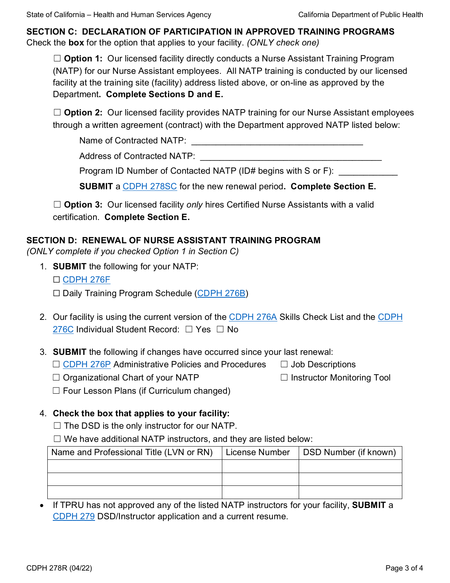**SECTION C: DECLARATION OF PARTICIPATION IN APPROVED TRAINING PROGRAMS**  Check the **box** for the option that applies to your facility. *(ONLY check one)*

□ **Option 1:** Our licensed facility directly conducts a Nurse Assistant Training Program (NATP) for our Nurse Assistant employees. All NATP training is conducted by our licensed facility at the training site (facility) address listed above, or on-line as approved by the Department**. Complete Sections D and E.**

□ **Option 2:** Our licensed facility provides NATP training for our Nurse Assistant employees through a written agreement (contract) with the Department approved NATP listed below:

Name of Contracted NATP: \_\_\_\_\_\_\_\_\_\_\_\_\_\_\_\_\_\_\_\_\_\_\_\_\_\_\_\_\_\_\_\_\_\_\_

Address of Contracted NATP:

Program ID Number of Contacted NATP (ID# begins with S or F):

**SUBMIT** a [CDPH 278SC](https://www.cdph.ca.gov/CDPH%20Document%20Library/ControlledForms/cdph278sc.pdf) for the new renewal period**. Complete Section E.** 

□ **Option 3:** Our licensed facility *only* hires Certified Nurse Assistants with a valid certification. **Complete Section E.**

### **SECTION D: RENEWAL OF NURSE ASSISTANT TRAINING PROGRAM**

*(ONLY complete if you checked Option 1 in Section C)*

1. **SUBMIT** the following for your NATP:

☐ [CDPH 276F](https://www.cdph.ca.gov/CDPH%20Document%20Library/ControlledForms/cdph276f.pdf)

☐ Daily Training Program Schedule [\(CDPH 276B\)](https://www.cdph.ca.gov/CDPH%20Document%20Library/ControlledForms/cdph276b.pdf)

- 2. Our facility is using the current version of the [CDPH 276A](https://www.cdph.ca.gov/CDPH%20Document%20Library/ControlledForms/cdph276a.pdf) Skills Check List and the [CDPH](https://www.cdph.ca.gov/CDPH%20Document%20Library/ControlledForms/cdph276c.pdf) [276C](https://www.cdph.ca.gov/CDPH%20Document%20Library/ControlledForms/cdph276c.pdf) Individual Student Record: □ Yes □ No
- 3. **SUBMIT** the following if changes have occurred since your last renewal:
	- ☐ [CDPH 276P](https://www.cdph.ca.gov/CDPH%20Document%20Library/ControlledForms/cdph276p.pdf) Administrative Policies and Procedures ☐ Job Descriptions

☐ Organizational Chart of your NATP ☐ Instructor Monitoring Tool

 $\Box$  Four Lesson Plans (if Curriculum changed)

## 4. **Check the box that applies to your facility:**

- $\Box$  The DSD is the only instructor for our NATP.
- $\Box$  We have additional NATP instructors, and they are listed below:

| Name and Professional Title (LVN or RN) | License Number | DSD Number (if known) |
|-----------------------------------------|----------------|-----------------------|
|                                         |                |                       |
|                                         |                |                       |
|                                         |                |                       |

• If TPRU has not approved any of the listed NATP instructors for your facility, **SUBMIT** a [CDPH](https://www.cdph.ca.gov/CDPH%20Document%20Library/ControlledForms/cdph279.pdf) 279 DSD/Instructor application and a current resume.